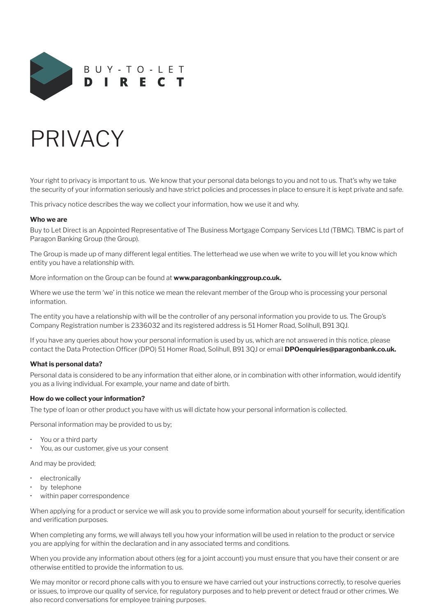

# PRIVACY

Your right to privacy is important to us. We know that your personal data belongs to you and not to us. That's why we take the security of your information seriously and have strict policies and processes in place to ensure it is kept private and safe.

This privacy notice describes the way we collect your information, how we use it and why.

#### **Who we are**

Buy to Let Direct is an Appointed Representative of The Business Mortgage Company Services Ltd (TBMC). TBMC is part of Paragon Banking Group (the Group).

The Group is made up of many different legal entities. The letterhead we use when we write to you will let you know which entity you have a relationship with.

More information on the Group can be found at **www.paragonbankinggroup.co.uk.**

Where we use the term 'we' in this notice we mean the relevant member of the Group who is processing your personal information.

The entity you have a relationship with will be the controller of any personal information you provide to us. The Group's Company Registration number is 2336032 and its registered address is 51 Homer Road, Solihull, B91 3QJ.

If you have any queries about how your personal information is used by us, which are not answered in this notice, please contact the Data Protection Officer (DPO) 51 Homer Road, Solihull, B91 3QJ or email **DPOenquiries@paragonbank.co.uk.**

#### **What is personal data?**

Personal data is considered to be any information that either alone, or in combination with other information, would identify you as a living individual. For example, your name and date of birth.

#### **How do we collect your information?**

The type of loan or other product you have with us will dictate how your personal information is collected.

Personal information may be provided to us by;

- You or a third party
- You, as our customer, give us your consent

And may be provided;

- **electronically**
- by telephone
- within paper correspondence

When applying for a product or service we will ask you to provide some information about yourself for security, identification and verification purposes.

When completing any forms, we will always tell you how your information will be used in relation to the product or service you are applying for within the declaration and in any associated terms and conditions.

When you provide any information about others (eg for a joint account) you must ensure that you have their consent or are otherwise entitled to provide the information to us.

We may monitor or record phone calls with you to ensure we have carried out your instructions correctly, to resolve queries or issues, to improve our quality of service, for regulatory purposes and to help prevent or detect fraud or other crimes. We also record conversations for employee training purposes.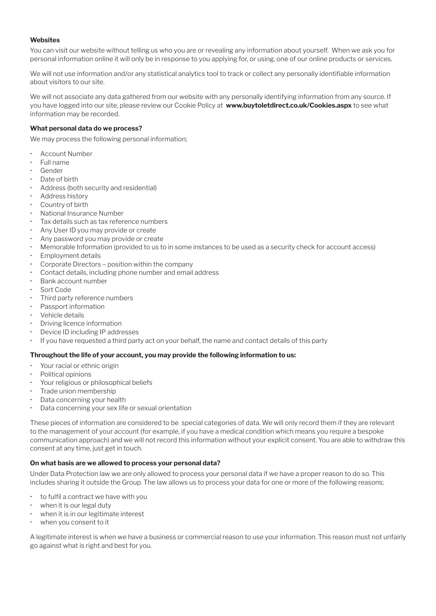# **Websites**

You can visit our website without telling us who you are or revealing any information about yourself. When we ask you for personal information online it will only be in response to you applying for, or using, one of our online products or services.

We will not use information and/or any statistical analytics tool to track or collect any personally identifiable information about visitors to our site.

We will not associate any data gathered from our website with any personally identifying information from any source. If you have logged into our site, please review our Cookie Policy at **www.buytoletdirect.co.uk/Cookies.aspx** to see what information may be recorded.

# **What personal data do we process?**

We may process the following personal information;

- Account Number
- Full name
- Gender
- Date of birth
- Address (both security and residential)
- Address history
- Country of birth
- National Insurance Number
- Tax details such as tax reference numbers
- Any User ID you may provide or create
- Any password you may provide or create
- Memorable Information (provided to us to in some instances to be used as a security check for account access)
- Employment details
- Corporate Directors position within the company
- Contact details, including phone number and email address
- Bank account number
- Sort Code
- Third party reference numbers
- Passport information
- Vehicle details
- Driving licence information
- Device ID including IP addresses
- If you have requested a third party act on your behalf, the name and contact details of this party

#### **Throughout the life of your account, you may provide the following information to us:**

- Your racial or ethnic origin
- Political opinions
- Your religious or philosophical beliefs
- Trade union membership
- Data concerning your health
- Data concerning your sex life or sexual orientation

These pieces of information are considered to be special categories of data. We will only record them if they are relevant to the management of your account (for example, if you have a medical condition which means you require a bespoke communication approach) and we will not record this information without your explicit consent. You are able to withdraw this consent at any time, just get in touch.

#### **On what basis are we allowed to process your personal data?**

Under Data Protection law we are only allowed to process your personal data if we have a proper reason to do so. This includes sharing it outside the Group. The law allows us to process your data for one or more of the following reasons;

- to fulfil a contract we have with you
- when it is our legal duty
- when it is in our legitimate interest
- when you consent to it

A legitimate interest is when we have a business or commercial reason to use your information. This reason must not unfairly go against what is right and best for you.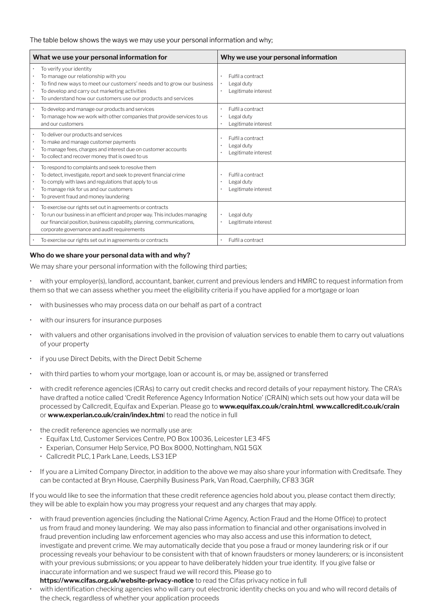#### The table below shows the ways we may use your personal information and why;

| What we use your personal information for                                                                                                                                                                                                                           | Why we use your personal information                                  |
|---------------------------------------------------------------------------------------------------------------------------------------------------------------------------------------------------------------------------------------------------------------------|-----------------------------------------------------------------------|
| To verify your identity<br>To manage our relationship with you<br>To find new ways to meet our customers' needs and to grow our business<br>To develop and carry out marketing activities<br>To understand how our customers use our products and services          | Fulfil a contract<br>٠<br>Legal duty<br>٠<br>Legitimate interest<br>٠ |
| To develop and manage our products and services<br>To manage how we work with other companies that provide services to us<br>and our customers                                                                                                                      | Fulfil a contract<br>٠<br>Legal duty<br>Legitimate interest<br>٠      |
| To deliver our products and services<br>To make and manage customer payments<br>To manage fees, charges and interest due on customer accounts<br>To collect and recover money that is owed to us                                                                    | Fulfil a contract<br>Legal duty<br>Legitimate interest                |
| To respond to complaints and seek to resolve them<br>To detect, investigate, report and seek to prevent financial crime<br>To comply with laws and regulations that apply to us<br>To manage risk for us and our customers<br>To prevent fraud and money laundering | Fulfil a contract<br>Legal duty<br>٠<br>Legitimate interest           |
| To exercise our rights set out in agreements or contracts<br>To run our business in an efficient and proper way. This includes managing<br>our financial position, business capability, planning, communications,<br>corporate governance and audit requirements    | Legal duty<br>Legitimate interest                                     |
| To exercise our rights set out in agreements or contracts                                                                                                                                                                                                           | Fulfil a contract                                                     |

## **Who do we share your personal data with and why?**

We may share your personal information with the following third parties;

• with your employer(s), landlord, accountant, banker, current and previous lenders and HMRC to request information from them so that we can assess whether you meet the eligibility criteria if you have applied for a mortgage or loan

- with businesses who may process data on our behalf as part of a contract
- with our insurers for insurance purposes
- with valuers and other organisations involved in the provision of valuation services to enable them to carry out valuations of your property
- if you use Direct Debits, with the Direct Debit Scheme
- with third parties to whom your mortgage, loan or account is, or may be, assigned or transferred
- with credit reference agencies (CRAs) to carry out credit checks and record details of your repayment history. The CRA's have drafted a notice called 'Credit Reference Agency Information Notice' (CRAIN) which sets out how your data will be processed by Callcredit, Equifax and Experian. Please go to **www.equifax.co.uk/crain.html**, **www.callcredit.co.uk/crain** or **www.experian.co.uk/crain/index.htm**l to read the notice in full
- the credit reference agencies we normally use are:
	- Equifax Ltd, Customer Services Centre, PO Box 10036, Leicester LE3 4FS
	- Experian, Consumer Help Service, PO Box 8000, Nottingham, NG1 5GX
	- Callcredit PLC, 1 Park Lane, Leeds, LS3 1EP
- If you are a Limited Company Director, in addition to the above we may also share your information with Creditsafe. They can be contacted at Bryn House, Caerphilly Business Park, Van Road, Caerphilly, CF83 3GR

If you would like to see the information that these credit reference agencies hold about you, please contact them directly; they will be able to explain how you may progress your request and any charges that may apply.

- with fraud prevention agencies (including the National Crime Agency, Action Fraud and the Home Office) to protect us from fraud and money laundering. We may also pass information to financial and other organisations involved in fraud prevention including law enforcement agencies who may also access and use this information to detect, investigate and prevent crime. We may automatically decide that you pose a fraud or money laundering risk or if our processing reveals your behaviour to be consistent with that of known fraudsters or money launderers; or is inconsistent with your previous submissions; or you appear to have deliberately hidden your true identity. If you give false or inaccurate information and we suspect fraud we will record this. Please go to **https://www.cifas.org.uk/website-privacy-notice** to read the Cifas privacy notice in full
- with identification checking agencies who will carry out electronic identity checks on you and who will record details of the check, regardless of whether your application proceeds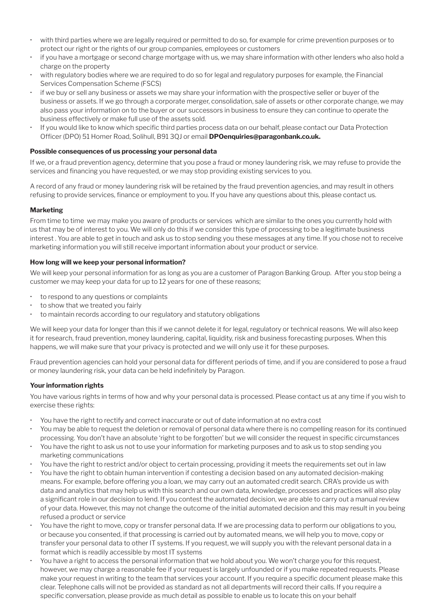- with third parties where we are legally required or permitted to do so, for example for crime prevention purposes or to protect our right or the rights of our group companies, employees or customers
- if you have a mortgage or second charge mortgage with us, we may share information with other lenders who also hold a charge on the property
- with regulatory bodies where we are required to do so for legal and regulatory purposes for example, the Financial Services Compensation Scheme (FSCS)
- if we buy or sell any business or assets we may share your information with the prospective seller or buyer of the business or assets. If we go through a corporate merger, consolidation, sale of assets or other corporate change, we may also pass your information on to the buyer or our successors in business to ensure they can continue to operate the business effectively or make full use of the assets sold.
- If you would like to know which specific third parties process data on our behalf, please contact our Data Protection Officer (DPO) 51 Homer Road, Solihull, B91 3QJ or email **DPOenquiries@paragonbank.co.uk.**

#### **Possible consequences of us processing your personal data**

If we, or a fraud prevention agency, determine that you pose a fraud or money laundering risk, we may refuse to provide the services and financing you have requested, or we may stop providing existing services to you.

A record of any fraud or money laundering risk will be retained by the fraud prevention agencies, and may result in others refusing to provide services, finance or employment to you. If you have any questions about this, please contact us.

#### **Marketing**

From time to time we may make you aware of products or services which are similar to the ones you currently hold with us that may be of interest to you. We will only do this if we consider this type of processing to be a legitimate business interest . You are able to get in touch and ask us to stop sending you these messages at any time. If you chose not to receive marketing information you will still receive important information about your product or service.

#### **How long will we keep your personal information?**

We will keep your personal information for as long as you are a customer of Paragon Banking Group. After you stop being a customer we may keep your data for up to 12 years for one of these reasons;

- to respond to any questions or complaints
- to show that we treated you fairly
- to maintain records according to our regulatory and statutory obligations

We will keep your data for longer than this if we cannot delete it for legal, regulatory or technical reasons. We will also keep it for research, fraud prevention, money laundering, capital, liquidity, risk and business forecasting purposes. When this happens, we will make sure that your privacy is protected and we will only use it for these purposes.

Fraud prevention agencies can hold your personal data for different periods of time, and if you are considered to pose a fraud or money laundering risk, your data can be held indefinitely by Paragon.

#### **Your information rights**

You have various rights in terms of how and why your personal data is processed. Please contact us at any time if you wish to exercise these rights:

- You have the right to rectify and correct inaccurate or out of date information at no extra cost
- You may be able to request the deletion or removal of personal data where there is no compelling reason for its continued processing. You don't have an absolute 'right to be forgotten' but we will consider the request in specific circumstances
- You have the right to ask us not to use your information for marketing purposes and to ask us to stop sending you marketing communications
- You have the right to restrict and/or object to certain processing, providing it meets the requirements set out in law
- You have the right to obtain human intervention if contesting a decision based on any automated decision-making means. For example, before offering you a loan, we may carry out an automated credit search. CRA's provide us with data and analytics that may help us with this search and our own data, knowledge, processes and practices will also play a significant role in our decision to lend. If you contest the automated decision, we are able to carry out a manual review of your data. However, this may not change the outcome of the initial automated decision and this may result in you being refused a product or service
- You have the right to move, copy or transfer personal data. If we are processing data to perform our obligations to you, or because you consented, if that processing is carried out by automated means, we will help you to move, copy or transfer your personal data to other IT systems. If you request, we will supply you with the relevant personal data in a format which is readily accessible by most IT systems
- You have a right to access the personal information that we hold about you. We won't charge you for this request, however, we may charge a reasonable fee if your request is largely unfounded or if you make repeated requests. Please make your request in writing to the team that services your account. If you require a specific document please make this clear. Telephone calls will not be provided as standard as not all departments will record their calls. If you require a specific conversation, please provide as much detail as possible to enable us to locate this on your behalf